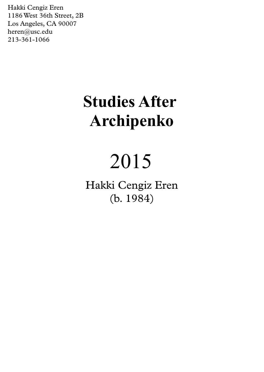Hakki Cengiz Eren 1186West 36th Street, 2B Los Angeles, CA 90007 heren@usc.edu 213-361-1066

## **Studies After Archipenko**

# 2015

Hakki Cengiz Eren (b. 1984)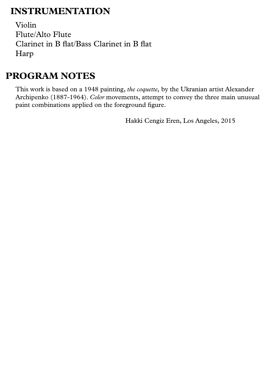## **INSTRUMENTATION**

Violin Flute/Alto Flute Clarinet in B flat/Bass Clarinet in B flat Harp

## **PROGRAM NOTES**

This work is based on a 1948 painting, *the coquette,* by the Ukranian artist Alexander Archipenko (1887-1964). *Color* movements, attempt to convey the three main unusual paint combinations applied on the foreground figure.

Hakki Cengiz Eren, Los Angeles, 2015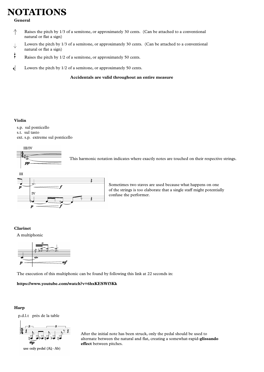### **NOTATIONS**

#### **General**

- $\wedge$ Raises the pitch by 1/3 of a semitone, or approximately 30 cents. (Can be attached to a conventional natural or flat a sign)
- Lowers the pitch by 1/3 of a semitone, or approximately 30 cents. (Can be attached to a conventional  $\downarrow$ natural or flat a sign)
- ţ Raises the pitch by 1/2 of a semitone, or approximately 50 cents.
- $\mathbf{d}$ Lowers the pitch by 1/2 of a semitone, or approximately 50 cents.

**Accidentals are valid throughout an entire measure**

#### **Violin**

s.p. sul ponticello s.t. sul tasto ext. s.p. extreme sul ponticello



#### **Clarinet**

A multiphonic



The execution of this multiphonic can be found by following this link at 22 seconds in:

#### **https://www.youtube.com/watch?v=6hxKESWf3Kk**

#### **Harp**

p.d.l.t près de la table



use only pedal (Ah-Ab)

After the initial note has been struck, only the pedal should be used to alternate between the natural and flat, creating a somewhat-rapid-**glissando effect** between pitches.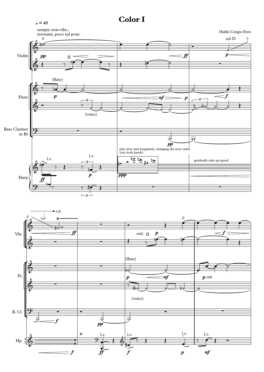

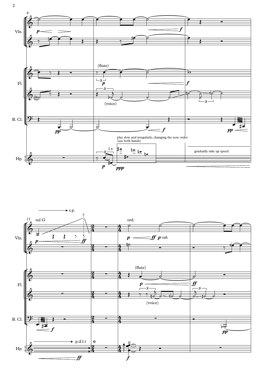



2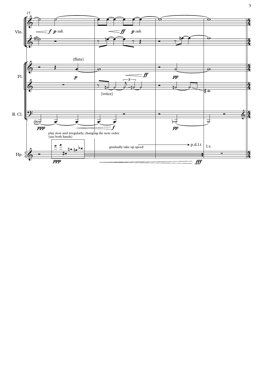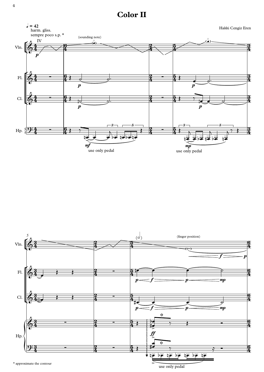

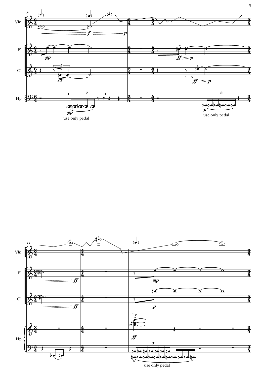

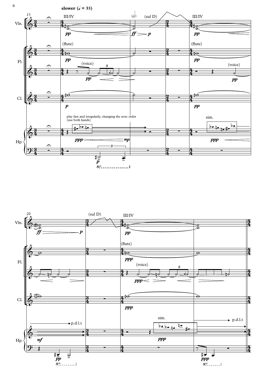



 $\overline{6}$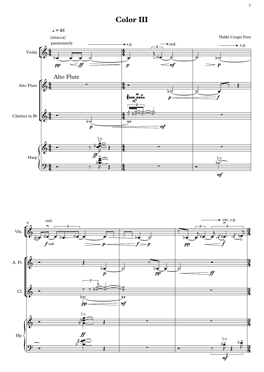

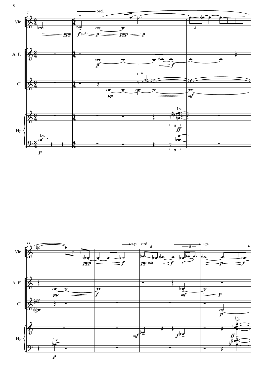



8